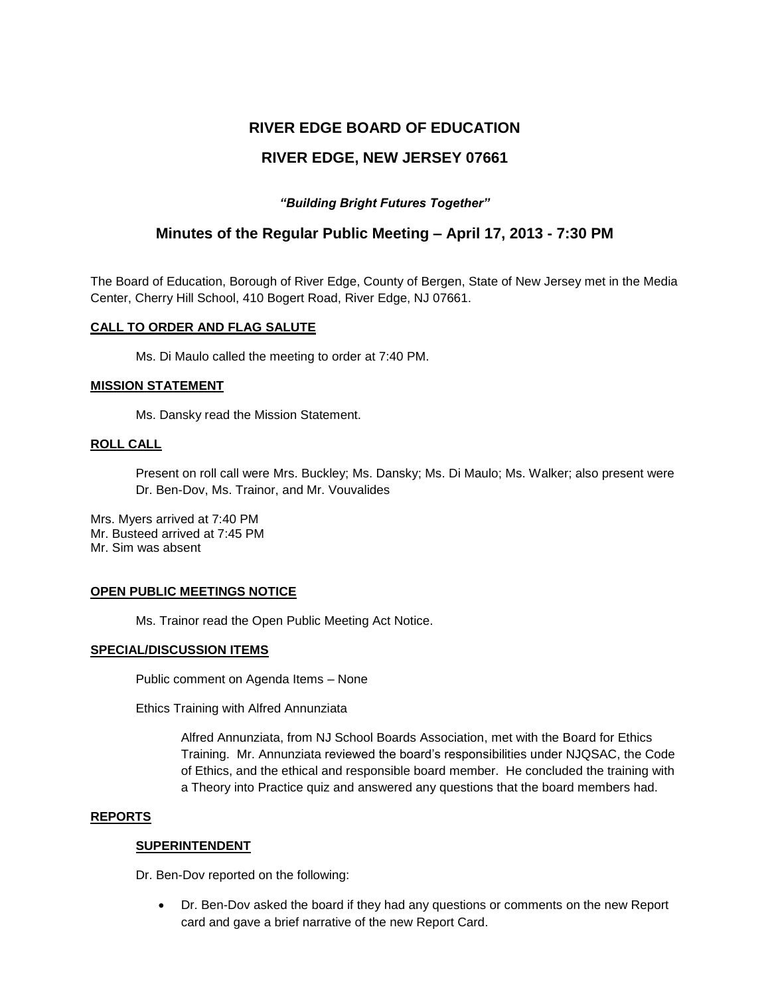# **RIVER EDGE BOARD OF EDUCATION RIVER EDGE, NEW JERSEY 07661**

# *"Building Bright Futures Together"*

# **Minutes of the Regular Public Meeting – April 17, 2013 - 7:30 PM**

The Board of Education, Borough of River Edge, County of Bergen, State of New Jersey met in the Media Center, Cherry Hill School, 410 Bogert Road, River Edge, NJ 07661.

## **CALL TO ORDER AND FLAG SALUTE**

Ms. Di Maulo called the meeting to order at 7:40 PM.

## **MISSION STATEMENT**

Ms. Dansky read the Mission Statement.

## **ROLL CALL**

Present on roll call were Mrs. Buckley; Ms. Dansky; Ms. Di Maulo; Ms. Walker; also present were Dr. Ben-Dov, Ms. Trainor, and Mr. Vouvalides

Mrs. Myers arrived at 7:40 PM Mr. Busteed arrived at 7:45 PM Mr. Sim was absent

#### **OPEN PUBLIC MEETINGS NOTICE**

Ms. Trainor read the Open Public Meeting Act Notice.

#### **SPECIAL/DISCUSSION ITEMS**

Public comment on Agenda Items – None

Ethics Training with Alfred Annunziata

Alfred Annunziata, from NJ School Boards Association, met with the Board for Ethics Training. Mr. Annunziata reviewed the board's responsibilities under NJQSAC, the Code of Ethics, and the ethical and responsible board member. He concluded the training with a Theory into Practice quiz and answered any questions that the board members had.

#### **REPORTS**

#### **SUPERINTENDENT**

Dr. Ben-Dov reported on the following:

 Dr. Ben-Dov asked the board if they had any questions or comments on the new Report card and gave a brief narrative of the new Report Card.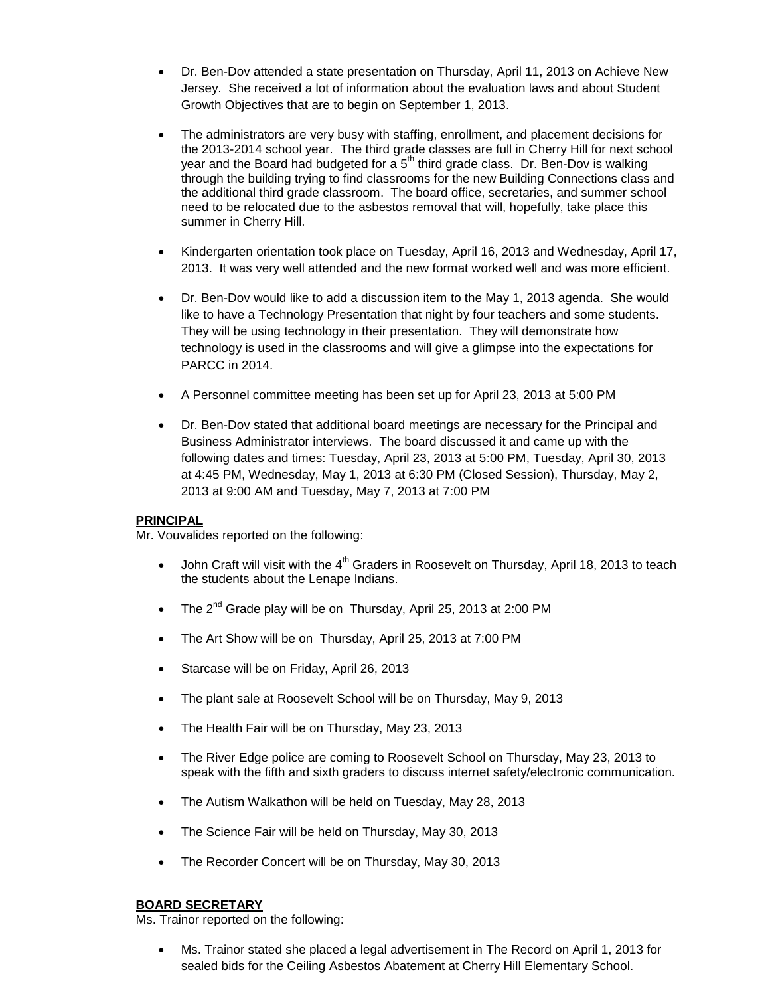- Dr. Ben-Dov attended a state presentation on Thursday, April 11, 2013 on Achieve New Jersey. She received a lot of information about the evaluation laws and about Student Growth Objectives that are to begin on September 1, 2013.
- The administrators are very busy with staffing, enrollment, and placement decisions for the 2013-2014 school year. The third grade classes are full in Cherry Hill for next school year and the Board had budgeted for a  $5<sup>th</sup>$  third grade class. Dr. Ben-Dov is walking through the building trying to find classrooms for the new Building Connections class and the additional third grade classroom. The board office, secretaries, and summer school need to be relocated due to the asbestos removal that will, hopefully, take place this summer in Cherry Hill.
- Kindergarten orientation took place on Tuesday, April 16, 2013 and Wednesday, April 17, 2013. It was very well attended and the new format worked well and was more efficient.
- Dr. Ben-Dov would like to add a discussion item to the May 1, 2013 agenda. She would like to have a Technology Presentation that night by four teachers and some students. They will be using technology in their presentation. They will demonstrate how technology is used in the classrooms and will give a glimpse into the expectations for PARCC in 2014.
- A Personnel committee meeting has been set up for April 23, 2013 at 5:00 PM
- Dr. Ben-Dov stated that additional board meetings are necessary for the Principal and Business Administrator interviews. The board discussed it and came up with the following dates and times: Tuesday, April 23, 2013 at 5:00 PM, Tuesday, April 30, 2013 at 4:45 PM, Wednesday, May 1, 2013 at 6:30 PM (Closed Session), Thursday, May 2, 2013 at 9:00 AM and Tuesday, May 7, 2013 at 7:00 PM

#### **PRINCIPAL**

Mr. Vouvalides reported on the following:

- $\bullet$  John Craft will visit with the 4<sup>th</sup> Graders in Roosevelt on Thursday, April 18, 2013 to teach the students about the Lenape Indians.
- The  $2^{nd}$  Grade play will be on Thursday, April 25, 2013 at 2:00 PM
- The Art Show will be on Thursday, April 25, 2013 at 7:00 PM
- Starcase will be on Friday, April 26, 2013
- The plant sale at Roosevelt School will be on Thursday, May 9, 2013
- The Health Fair will be on Thursday, May 23, 2013
- The River Edge police are coming to Roosevelt School on Thursday, May 23, 2013 to speak with the fifth and sixth graders to discuss internet safety/electronic communication.
- The Autism Walkathon will be held on Tuesday, May 28, 2013
- The Science Fair will be held on Thursday, May 30, 2013
- The Recorder Concert will be on Thursday, May 30, 2013

#### **BOARD SECRETARY**

Ms. Trainor reported on the following:

 Ms. Trainor stated she placed a legal advertisement in The Record on April 1, 2013 for sealed bids for the Ceiling Asbestos Abatement at Cherry Hill Elementary School.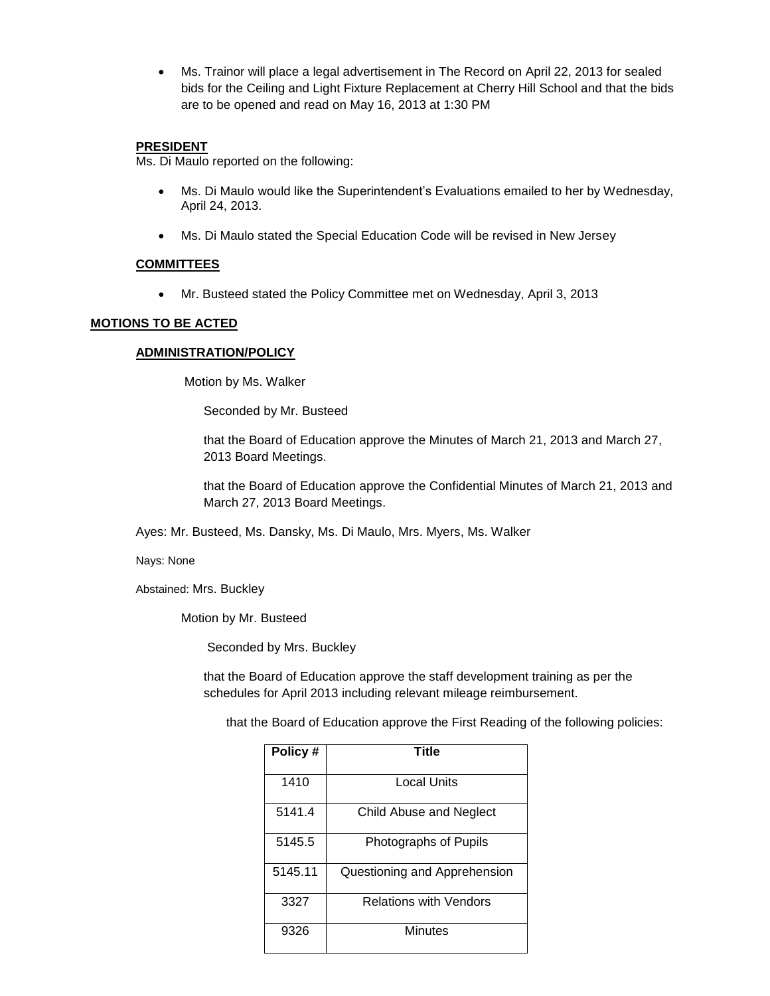Ms. Trainor will place a legal advertisement in The Record on April 22, 2013 for sealed bids for the Ceiling and Light Fixture Replacement at Cherry Hill School and that the bids are to be opened and read on May 16, 2013 at 1:30 PM

#### **PRESIDENT**

Ms. Di Maulo reported on the following:

- Ms. Di Maulo would like the Superintendent's Evaluations emailed to her by Wednesday, April 24, 2013.
- Ms. Di Maulo stated the Special Education Code will be revised in New Jersey

#### **COMMITTEES**

Mr. Busteed stated the Policy Committee met on Wednesday, April 3, 2013

## **MOTIONS TO BE ACTED**

## **ADMINISTRATION/POLICY**

Motion by Ms. Walker

Seconded by Mr. Busteed

that the Board of Education approve the Minutes of March 21, 2013 and March 27, 2013 Board Meetings.

that the Board of Education approve the Confidential Minutes of March 21, 2013 and March 27, 2013 Board Meetings.

Ayes: Mr. Busteed, Ms. Dansky, Ms. Di Maulo, Mrs. Myers, Ms. Walker

Nays: None

Abstained: Mrs. Buckley

Motion by Mr. Busteed

Seconded by Mrs. Buckley

that the Board of Education approve the staff development training as per the schedules for April 2013 including relevant mileage reimbursement.

that the Board of Education approve the First Reading of the following policies:

| Policy# | Title                         |  |
|---------|-------------------------------|--|
| 1410    | <b>Local Units</b>            |  |
| 5141.4  | Child Abuse and Neglect       |  |
| 5145.5  | Photographs of Pupils         |  |
| 5145.11 | Questioning and Apprehension  |  |
| 3327    | <b>Relations with Vendors</b> |  |
| 9326    | Minutes                       |  |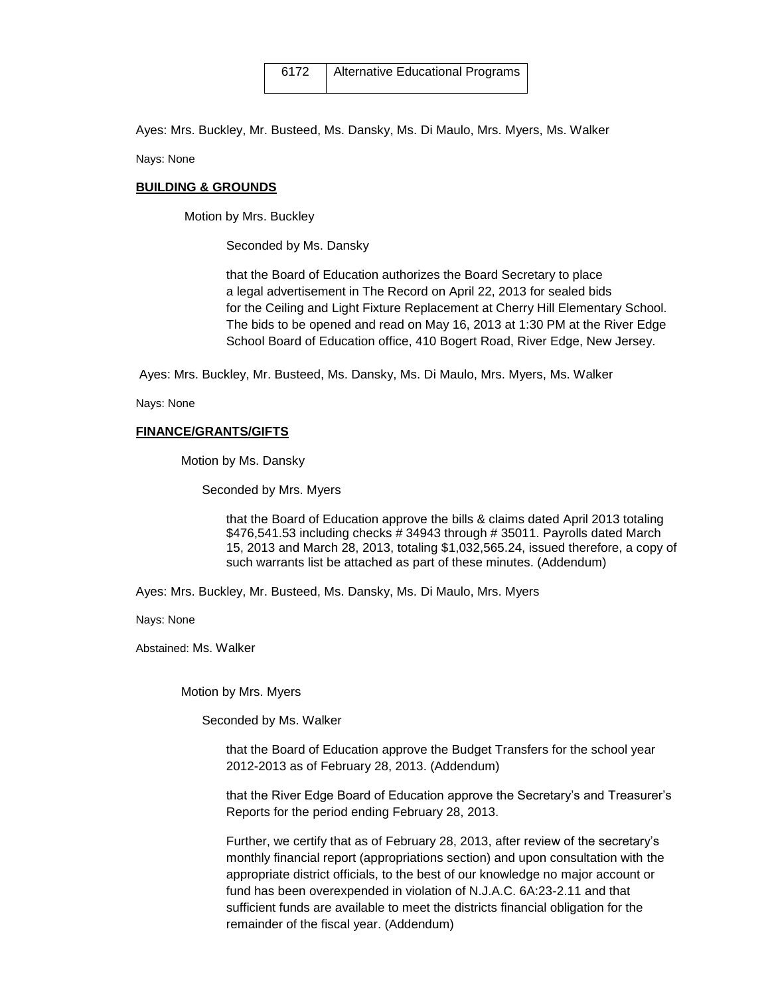Ayes: Mrs. Buckley, Mr. Busteed, Ms. Dansky, Ms. Di Maulo, Mrs. Myers, Ms. Walker

Nays: None

#### **BUILDING & GROUNDS**

Motion by Mrs. Buckley

Seconded by Ms. Dansky

 that the Board of Education authorizes the Board Secretary to place a legal advertisement in The Record on April 22, 2013 for sealed bids for the Ceiling and Light Fixture Replacement at Cherry Hill Elementary School. The bids to be opened and read on May 16, 2013 at 1:30 PM at the River Edge School Board of Education office, 410 Bogert Road, River Edge, New Jersey.

Ayes: Mrs. Buckley, Mr. Busteed, Ms. Dansky, Ms. Di Maulo, Mrs. Myers, Ms. Walker

Nays: None

#### **FINANCE/GRANTS/GIFTS**

Motion by Ms. Dansky

Seconded by Mrs. Myers

that the Board of Education approve the bills & claims dated April 2013 totaling \$476,541.53 including checks # 34943 through # 35011. Payrolls dated March 15, 2013 and March 28, 2013, totaling \$1,032,565.24, issued therefore, a copy of such warrants list be attached as part of these minutes. (Addendum)

Ayes: Mrs. Buckley, Mr. Busteed, Ms. Dansky, Ms. Di Maulo, Mrs. Myers

Nays: None

Abstained: Ms. Walker

Motion by Mrs. Myers

Seconded by Ms. Walker

that the Board of Education approve the Budget Transfers for the school year 2012-2013 as of February 28, 2013. (Addendum)

that the River Edge Board of Education approve the Secretary's and Treasurer's Reports for the period ending February 28, 2013.

Further, we certify that as of February 28, 2013, after review of the secretary's monthly financial report (appropriations section) and upon consultation with the appropriate district officials, to the best of our knowledge no major account or fund has been overexpended in violation of N.J.A.C. 6A:23-2.11 and that sufficient funds are available to meet the districts financial obligation for the remainder of the fiscal year. (Addendum)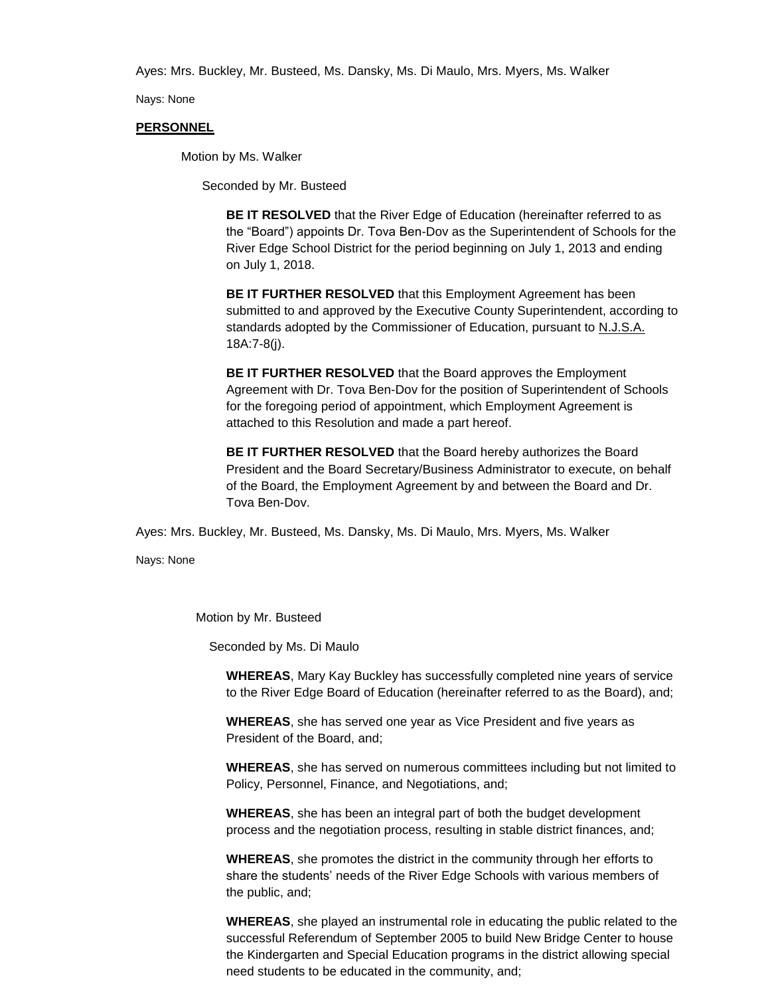Ayes: Mrs. Buckley, Mr. Busteed, Ms. Dansky, Ms. Di Maulo, Mrs. Myers, Ms. Walker

Nays: None

#### **PERSONNEL**

Motion by Ms. Walker

Seconded by Mr. Busteed

**BE IT RESOLVED** that the River Edge of Education (hereinafter referred to as the "Board") appoints Dr. Tova Ben-Dov as the Superintendent of Schools for the River Edge School District for the period beginning on July 1, 2013 and ending on July 1, 2018.

**BE IT FURTHER RESOLVED** that this Employment Agreement has been submitted to and approved by the Executive County Superintendent, according to standards adopted by the Commissioner of Education, pursuant to N.J.S.A. 18A:7-8(j).

**BE IT FURTHER RESOLVED** that the Board approves the Employment Agreement with Dr. Tova Ben-Dov for the position of Superintendent of Schools for the foregoing period of appointment, which Employment Agreement is attached to this Resolution and made a part hereof.

**BE IT FURTHER RESOLVED** that the Board hereby authorizes the Board President and the Board Secretary/Business Administrator to execute, on behalf of the Board, the Employment Agreement by and between the Board and Dr. Tova Ben-Dov.

Ayes: Mrs. Buckley, Mr. Busteed, Ms. Dansky, Ms. Di Maulo, Mrs. Myers, Ms. Walker

Nays: None

Motion by Mr. Busteed

Seconded by Ms. Di Maulo

**WHEREAS**, Mary Kay Buckley has successfully completed nine years of service to the River Edge Board of Education (hereinafter referred to as the Board), and;

**WHEREAS**, she has served one year as Vice President and five years as President of the Board, and;

**WHEREAS**, she has served on numerous committees including but not limited to Policy, Personnel, Finance, and Negotiations, and;

**WHEREAS**, she has been an integral part of both the budget development process and the negotiation process, resulting in stable district finances, and;

**WHEREAS**, she promotes the district in the community through her efforts to share the students' needs of the River Edge Schools with various members of the public, and;

**WHEREAS**, she played an instrumental role in educating the public related to the successful Referendum of September 2005 to build New Bridge Center to house the Kindergarten and Special Education programs in the district allowing special need students to be educated in the community, and;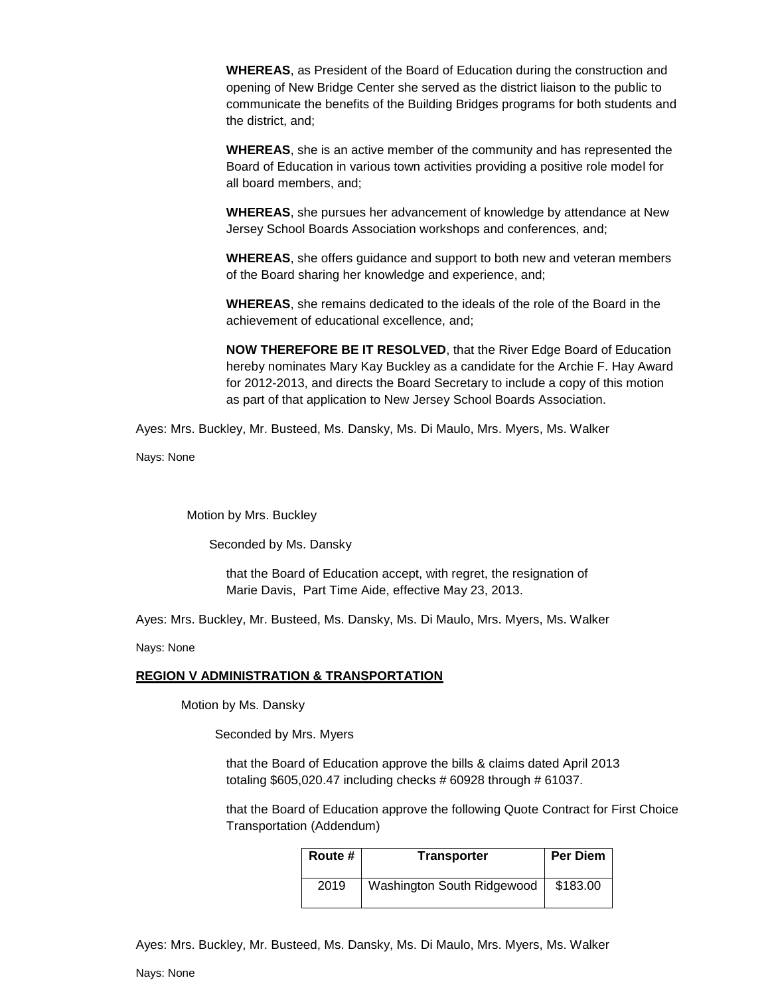**WHEREAS**, as President of the Board of Education during the construction and opening of New Bridge Center she served as the district liaison to the public to communicate the benefits of the Building Bridges programs for both students and the district, and;

**WHEREAS**, she is an active member of the community and has represented the Board of Education in various town activities providing a positive role model for all board members, and;

**WHEREAS**, she pursues her advancement of knowledge by attendance at New Jersey School Boards Association workshops and conferences, and;

**WHEREAS**, she offers guidance and support to both new and veteran members of the Board sharing her knowledge and experience, and;

**WHEREAS**, she remains dedicated to the ideals of the role of the Board in the achievement of educational excellence, and;

**NOW THEREFORE BE IT RESOLVED**, that the River Edge Board of Education hereby nominates Mary Kay Buckley as a candidate for the Archie F. Hay Award for 2012-2013, and directs the Board Secretary to include a copy of this motion as part of that application to New Jersey School Boards Association.

Ayes: Mrs. Buckley, Mr. Busteed, Ms. Dansky, Ms. Di Maulo, Mrs. Myers, Ms. Walker

Nays: None

Motion by Mrs. Buckley

Seconded by Ms. Dansky

that the Board of Education accept, with regret, the resignation of Marie Davis, Part Time Aide, effective May 23, 2013.

Ayes: Mrs. Buckley, Mr. Busteed, Ms. Dansky, Ms. Di Maulo, Mrs. Myers, Ms. Walker

Nays: None

#### **REGION V ADMINISTRATION & TRANSPORTATION**

Motion by Ms. Dansky

Seconded by Mrs. Myers

that the Board of Education approve the bills & claims dated April 2013 totaling \$605,020.47 including checks # 60928 through # 61037.

that the Board of Education approve the following Quote Contract for First Choice Transportation (Addendum)

| Route # | <b>Transporter</b>         | <b>Per Diem</b> |
|---------|----------------------------|-----------------|
| 2019    | Washington South Ridgewood | \$183.00        |

Ayes: Mrs. Buckley, Mr. Busteed, Ms. Dansky, Ms. Di Maulo, Mrs. Myers, Ms. Walker